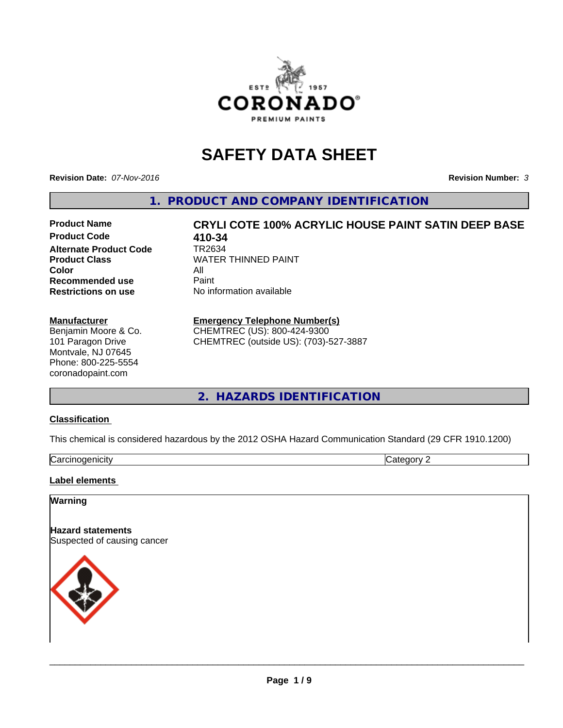

# **SAFETY DATA SHEET**

**Revision Date:** *07-Nov-2016* **Revision Number:** *3*

**1. PRODUCT AND COMPANY IDENTIFICATION**

**Product Code 618 110-34<br>Alternate Product Code 618 1782634 Alternate Product Code Product Class** WATER THINNED PAINT<br>
Color **Color** All<br> **Recommended use** Paint **Recommended use Restrictions on use** No information available

**Product Name CRYLI COTE 100% ACRYLIC HOUSE PAINT SATIN DEEP BASE**

#### **Manufacturer**

Benjamin Moore & Co. 101 Paragon Drive Montvale, NJ 07645 Phone: 800-225-5554 coronadopaint.com

## **Emergency Telephone Number(s)**

CHEMTREC (US): 800-424-9300 CHEMTREC (outside US): (703)-527-3887

**2. HAZARDS IDENTIFICATION**

#### **Classification**

This chemical is considered hazardous by the 2012 OSHA Hazard Communication Standard (29 CFR 1910.1200)

| ∽<br>$\sim$<br>enicity<br>∪di | $\sim$<br>.<br>. |
|-------------------------------|------------------|

#### **Label elements**

## **Warning**

**Hazard statements** Suspected of causing cancer

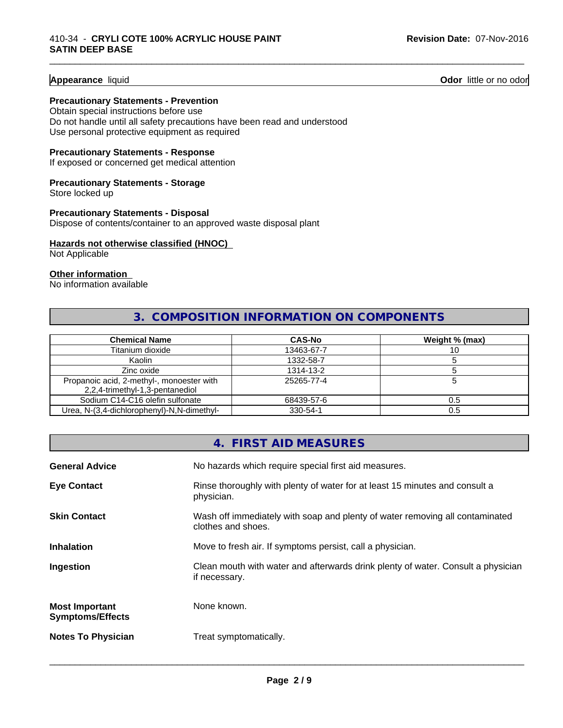#### **Appearance** liquid **Contract Contract Contract Contract Contract Contract Contract Contract Contract Contract Contract Contract Contract Contract Contract Contract Contract Contract Contract Contract Contract Contract Con**

#### **Precautionary Statements - Prevention**

Obtain special instructions before use Do not handle until all safety precautions have been read and understood Use personal protective equipment as required

#### **Precautionary Statements - Response**

If exposed or concerned get medical attention

#### **Precautionary Statements - Storage**

Store locked up

#### **Precautionary Statements - Disposal**

Dispose of contents/container to an approved waste disposal plant

#### **Hazards not otherwise classified (HNOC)**

Not Applicable

#### **Other information**

No information available

## **3. COMPOSITION INFORMATION ON COMPONENTS**

\_\_\_\_\_\_\_\_\_\_\_\_\_\_\_\_\_\_\_\_\_\_\_\_\_\_\_\_\_\_\_\_\_\_\_\_\_\_\_\_\_\_\_\_\_\_\_\_\_\_\_\_\_\_\_\_\_\_\_\_\_\_\_\_\_\_\_\_\_\_\_\_\_\_\_\_\_\_\_\_\_\_\_\_\_\_\_\_\_\_\_\_\_

| <b>Chemical Name</b>                                                         | <b>CAS-No</b> | Weight % (max) |
|------------------------------------------------------------------------------|---------------|----------------|
| Titanium dioxide                                                             | 13463-67-7    | 10             |
| Kaolin                                                                       | 1332-58-7     |                |
| Zinc oxide                                                                   | 1314-13-2     |                |
| Propanoic acid, 2-methyl-, monoester with<br>2,2,4-trimethyl-1,3-pentanediol | 25265-77-4    |                |
| Sodium C14-C16 olefin sulfonate                                              | 68439-57-6    | 0.5            |
| Urea, N-(3,4-dichlorophenyl)-N,N-dimethyl-                                   | 330-54-1      | 0.5            |

## **4. FIRST AID MEASURES General Advice** No hazards which require special first aid measures. **Eye Contact Rinse thoroughly with plenty of water for at least 15 minutes and consult a** physician. **Skin Contact** Wash off immediately with soap and plenty of water removing all contaminated clothes and shoes. **Inhalation** Move to fresh air. If symptoms persist, call a physician. **Ingestion Exame Clean mouth with water and afterwards drink plenty of water. Consult a physician** if necessary. **Most Important Symptoms/Effects** None known. **Notes To Physician** Treat symptomatically.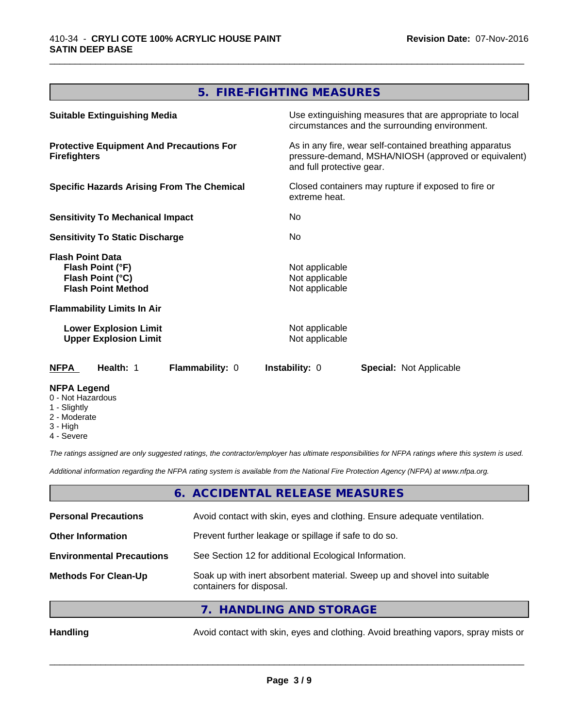## **5. FIRE-FIGHTING MEASURES**

\_\_\_\_\_\_\_\_\_\_\_\_\_\_\_\_\_\_\_\_\_\_\_\_\_\_\_\_\_\_\_\_\_\_\_\_\_\_\_\_\_\_\_\_\_\_\_\_\_\_\_\_\_\_\_\_\_\_\_\_\_\_\_\_\_\_\_\_\_\_\_\_\_\_\_\_\_\_\_\_\_\_\_\_\_\_\_\_\_\_\_\_\_

| <b>Suitable Extinguishing Media</b>                                                          | Use extinguishing measures that are appropriate to local<br>circumstances and the surrounding environment.                                   |
|----------------------------------------------------------------------------------------------|----------------------------------------------------------------------------------------------------------------------------------------------|
| <b>Protective Equipment And Precautions For</b><br><b>Firefighters</b>                       | As in any fire, wear self-contained breathing apparatus<br>pressure-demand, MSHA/NIOSH (approved or equivalent)<br>and full protective gear. |
| <b>Specific Hazards Arising From The Chemical</b>                                            | Closed containers may rupture if exposed to fire or<br>extreme heat.                                                                         |
| <b>Sensitivity To Mechanical Impact</b>                                                      | No.                                                                                                                                          |
| <b>Sensitivity To Static Discharge</b>                                                       | No.                                                                                                                                          |
| <b>Flash Point Data</b><br>Flash Point (°F)<br>Flash Point (°C)<br><b>Flash Point Method</b> | Not applicable<br>Not applicable<br>Not applicable                                                                                           |
| <b>Flammability Limits In Air</b>                                                            |                                                                                                                                              |
| <b>Lower Explosion Limit</b><br><b>Upper Explosion Limit</b>                                 | Not applicable<br>Not applicable                                                                                                             |
| Flammability: 0<br><b>NFPA</b><br>Health: 1                                                  | Instability: 0<br>Special: Not Applicable                                                                                                    |
| <b>NFPA Legend</b><br>0 - Not Hazardous<br>1 - Slightly                                      |                                                                                                                                              |

- 2 Moderate
- 3 High
- 4 Severe

*The ratings assigned are only suggested ratings, the contractor/employer has ultimate responsibilities for NFPA ratings where this system is used.*

*Additional information regarding the NFPA rating system is available from the National Fire Protection Agency (NFPA) at www.nfpa.org.*

#### **6. ACCIDENTAL RELEASE MEASURES**

| <b>Personal Precautions</b>                                                                                                         | Avoid contact with skin, eyes and clothing. Ensure adequate ventilation. |  |
|-------------------------------------------------------------------------------------------------------------------------------------|--------------------------------------------------------------------------|--|
| <b>Other Information</b>                                                                                                            | Prevent further leakage or spillage if safe to do so.                    |  |
| <b>Environmental Precautions</b>                                                                                                    | See Section 12 for additional Ecological Information.                    |  |
| Soak up with inert absorbent material. Sweep up and shovel into suitable<br><b>Methods For Clean-Up</b><br>containers for disposal. |                                                                          |  |
|                                                                                                                                     | 7. HANDLING AND STORAGE                                                  |  |
|                                                                                                                                     | .                                                                        |  |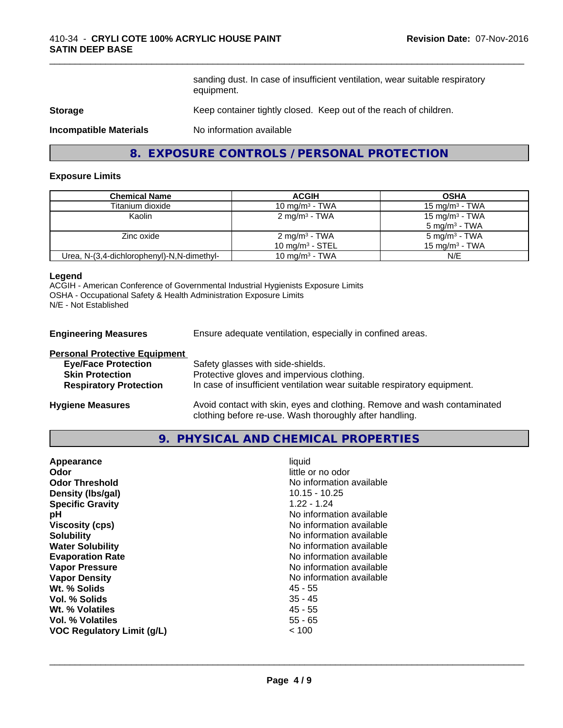sanding dust. In case of insufficient ventilation, wear suitable respiratory equipment.

\_\_\_\_\_\_\_\_\_\_\_\_\_\_\_\_\_\_\_\_\_\_\_\_\_\_\_\_\_\_\_\_\_\_\_\_\_\_\_\_\_\_\_\_\_\_\_\_\_\_\_\_\_\_\_\_\_\_\_\_\_\_\_\_\_\_\_\_\_\_\_\_\_\_\_\_\_\_\_\_\_\_\_\_\_\_\_\_\_\_\_\_\_

#### **Storage** Keep container tightly closed. Keep out of the reach of children.

**Incompatible Materials** No information available

## **8. EXPOSURE CONTROLS / PERSONAL PROTECTION**

#### **Exposure Limits**

| <b>Chemical Name</b>                       | <b>ACGIH</b>               | <b>OSHA</b>              |
|--------------------------------------------|----------------------------|--------------------------|
| Titanium dioxide                           | 10 mg/m $3$ - TWA          | 15 mg/m $3$ - TWA        |
| Kaolin                                     | $2 \text{ mg/m}^3$ - TWA   | 15 mg/m $3$ - TWA        |
|                                            |                            | $5 \text{ mg/m}^3$ - TWA |
| Zinc oxide                                 | $2 \text{ mg/m}^3$ - TWA   | $5 \text{ mg/m}^3$ - TWA |
|                                            | 10 mg/m $3$ - STEL         | 15 mg/m $3$ - TWA        |
| Urea, N-(3,4-dichlorophenyl)-N,N-dimethyl- | 10 mg/m <sup>3</sup> - TWA | N/E                      |

#### **Legend**

ACGIH - American Conference of Governmental Industrial Hygienists Exposure Limits OSHA - Occupational Safety & Health Administration Exposure Limits N/E - Not Established

**Engineering Measures** Ensure adequate ventilation, especially in confined areas.

| <b>Personal Protective Equipment</b> |                                                                                                                                     |
|--------------------------------------|-------------------------------------------------------------------------------------------------------------------------------------|
| <b>Eye/Face Protection</b>           | Safety glasses with side-shields.                                                                                                   |
| <b>Skin Protection</b>               | Protective gloves and impervious clothing.                                                                                          |
| <b>Respiratory Protection</b>        | In case of insufficient ventilation wear suitable respiratory equipment.                                                            |
| <b>Hygiene Measures</b>              | Avoid contact with skin, eyes and clothing. Remove and wash contaminated<br>clothing before re-use. Wash thoroughly after handling. |

#### **9. PHYSICAL AND CHEMICAL PROPERTIES**

| $10.15 - 10.25$<br>Density (Ibs/gal)<br><b>Specific Gravity</b><br>$1.22 - 1.24$<br>No information available<br>рH<br>No information available<br><b>Viscosity (cps)</b><br><b>Solubility</b><br>No information available<br>No information available<br><b>Water Solubility</b><br>No information available<br><b>Evaporation Rate</b><br><b>Vapor Pressure</b><br>No information available<br>No information available<br><b>Vapor Density</b><br>Wt. % Solids<br>45 - 55<br>Vol. % Solids<br>$35 - 45$<br>$45 - 55$<br>Wt. % Volatiles<br>$55 - 65$<br>Vol. % Volatiles<br>VOC Regulatory Limit (g/L)<br>< 100 |
|-------------------------------------------------------------------------------------------------------------------------------------------------------------------------------------------------------------------------------------------------------------------------------------------------------------------------------------------------------------------------------------------------------------------------------------------------------------------------------------------------------------------------------------------------------------------------------------------------------------------|
|-------------------------------------------------------------------------------------------------------------------------------------------------------------------------------------------------------------------------------------------------------------------------------------------------------------------------------------------------------------------------------------------------------------------------------------------------------------------------------------------------------------------------------------------------------------------------------------------------------------------|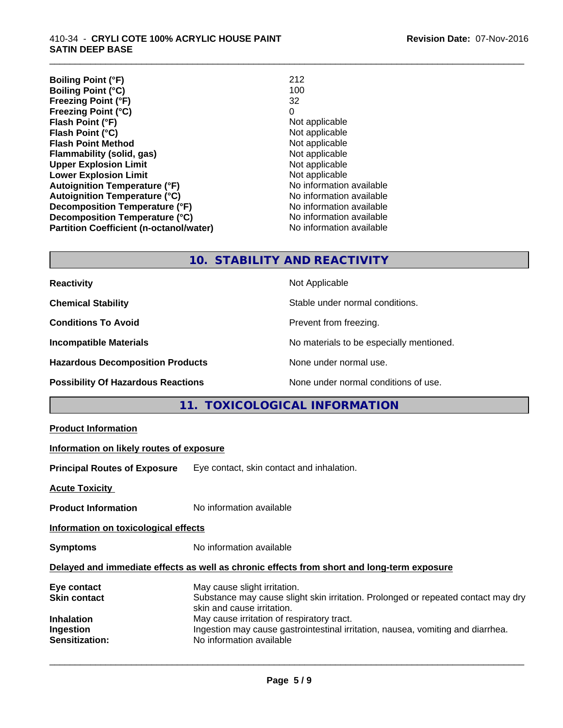**Boiling Point (°F)** 212 **Boiling Point (°C)** 100<br>**Freezing Point (°F)** 32 **Freezing Point (°F)** 32 **Freezing Point (°C)** 0 **Flash Point (°F)**<br> **Flash Point (°C)**<br> **Flash Point (°C)**<br> **C Flash Point (°C) Flash Point Method**<br> **Flammability (solid, gas)**<br>
Not applicable<br>
Not applicable **Flammability (solid, gas)** Not applicable Not applicable<br> **Upper Explosion Limit** Not applicable **Upper Explosion Limit Lower Explosion Limit**<br> **Autoignition Temperature (°F)**<br> **Autoignition Temperature (°F)**<br> **Autoignition Temperature (°F)**<br> **Autoignition Temperature (°F) Autoignition Temperature (°F) Autoignition Temperature (°C)** No information available **Decomposition Temperature (°F)**<br> **Decomposition Temperature (°C)** No information available<br>
No information available **Decomposition Temperature (°C) Partition Coefficient (n-octanol/water)** No information available

\_\_\_\_\_\_\_\_\_\_\_\_\_\_\_\_\_\_\_\_\_\_\_\_\_\_\_\_\_\_\_\_\_\_\_\_\_\_\_\_\_\_\_\_\_\_\_\_\_\_\_\_\_\_\_\_\_\_\_\_\_\_\_\_\_\_\_\_\_\_\_\_\_\_\_\_\_\_\_\_\_\_\_\_\_\_\_\_\_\_\_\_\_

## **10. STABILITY AND REACTIVITY**

| <b>Reactivity</b>                         | Not Applicable                           |
|-------------------------------------------|------------------------------------------|
| <b>Chemical Stability</b>                 | Stable under normal conditions.          |
| <b>Conditions To Avoid</b>                | Prevent from freezing.                   |
| <b>Incompatible Materials</b>             | No materials to be especially mentioned. |
| <b>Hazardous Decomposition Products</b>   | None under normal use.                   |
| <b>Possibility Of Hazardous Reactions</b> | None under normal conditions of use.     |

## **11. TOXICOLOGICAL INFORMATION**

| <b>Product Information</b> |
|----------------------------|
|----------------------------|

#### **Information on likely routes of exposure**

**Principal Routes of Exposure** Eye contact, skin contact and inhalation.

**Acute Toxicity** 

**Product Information** No information available

**Information on toxicological effects**

**Symptoms** No information available

#### **Delayed and immediate effects as well as chronic effects from short and long-term exposure**

| May cause slight irritation.                                                      |
|-----------------------------------------------------------------------------------|
| Substance may cause slight skin irritation. Prolonged or repeated contact may dry |
| skin and cause irritation.                                                        |
| May cause irritation of respiratory tract.                                        |
| Ingestion may cause gastrointestinal irritation, nausea, vomiting and diarrhea.   |
| No information available                                                          |
|                                                                                   |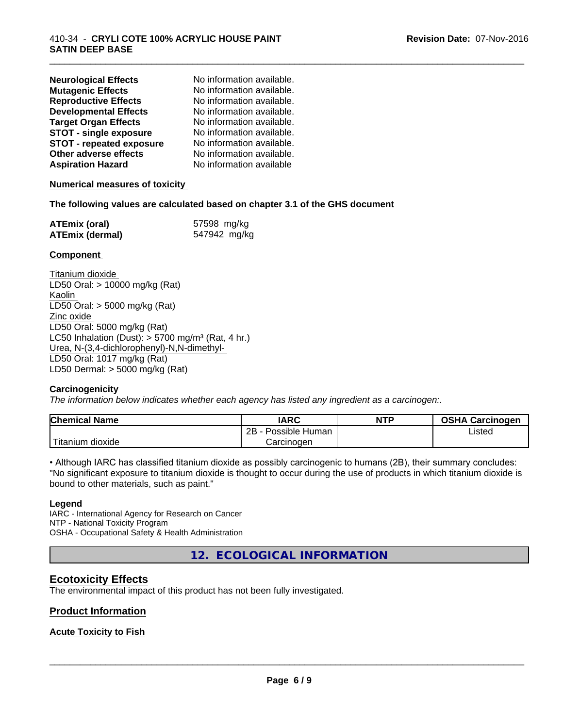| <b>Neurological Effects</b>     | No information available. |
|---------------------------------|---------------------------|
| <b>Mutagenic Effects</b>        | No information available. |
| <b>Reproductive Effects</b>     | No information available. |
| <b>Developmental Effects</b>    | No information available. |
| <b>Target Organ Effects</b>     | No information available. |
| <b>STOT - single exposure</b>   | No information available. |
| <b>STOT - repeated exposure</b> | No information available. |
| Other adverse effects           | No information available. |
| <b>Aspiration Hazard</b>        | No information available  |

#### **Numerical measures of toxicity**

#### **The following values are calculated based on chapter 3.1 of the GHS document**

| <b>ATEmix (oral)</b>   | 57598 mg/kg  |
|------------------------|--------------|
| <b>ATEmix (dermal)</b> | 547942 mg/kg |

#### **Component**

Titanium dioxide LD50 Oral: > 10000 mg/kg (Rat) Kaolin LD50 Oral: > 5000 mg/kg (Rat) Zinc oxide LD50 Oral: 5000 mg/kg (Rat) LC50 Inhalation (Dust):  $> 5700$  mg/m<sup>3</sup> (Rat, 4 hr.) Urea, N-(3,4-dichlorophenyl)-N,N-dimethyl- LD50 Oral: 1017 mg/kg (Rat) LD50 Dermal: > 5000 mg/kg (Rat)

#### **Carcinogenicity**

*The information below indicateswhether each agency has listed any ingredient as a carcinogen:.*

| <b>Chemical Name</b>     | <b>IARC</b>          | <b>NTP</b> | <b>OSHA Carcinogen</b> |
|--------------------------|----------------------|------------|------------------------|
|                          | 2B<br>Possible Human |            | Listed                 |
| .<br>dioxide<br>Titanium | Carcinogen           |            |                        |

\_\_\_\_\_\_\_\_\_\_\_\_\_\_\_\_\_\_\_\_\_\_\_\_\_\_\_\_\_\_\_\_\_\_\_\_\_\_\_\_\_\_\_\_\_\_\_\_\_\_\_\_\_\_\_\_\_\_\_\_\_\_\_\_\_\_\_\_\_\_\_\_\_\_\_\_\_\_\_\_\_\_\_\_\_\_\_\_\_\_\_\_\_

• Although IARC has classified titanium dioxide as possibly carcinogenic to humans (2B), their summary concludes: "No significant exposure to titanium dioxide is thought to occur during the use of products in which titanium dioxide is bound to other materials, such as paint."

#### **Legend**

IARC - International Agency for Research on Cancer NTP - National Toxicity Program OSHA - Occupational Safety & Health Administration

**12. ECOLOGICAL INFORMATION**

## **Ecotoxicity Effects**

The environmental impact of this product has not been fully investigated.

#### **Product Information**

## **Acute Toxicity to Fish**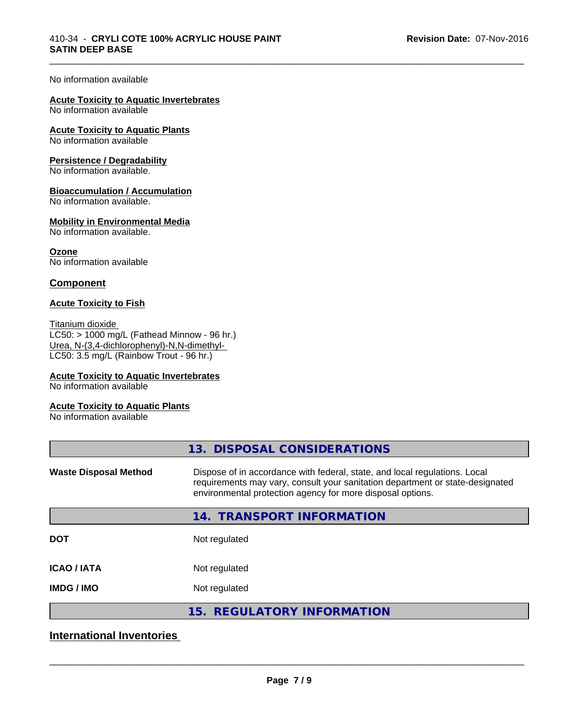\_\_\_\_\_\_\_\_\_\_\_\_\_\_\_\_\_\_\_\_\_\_\_\_\_\_\_\_\_\_\_\_\_\_\_\_\_\_\_\_\_\_\_\_\_\_\_\_\_\_\_\_\_\_\_\_\_\_\_\_\_\_\_\_\_\_\_\_\_\_\_\_\_\_\_\_\_\_\_\_\_\_\_\_\_\_\_\_\_\_\_\_\_

#### No information available

#### **Acute Toxicity to Aquatic Invertebrates**

No information available

#### **Acute Toxicity to Aquatic Plants**

No information available

#### **Persistence / Degradability**

No information available.

#### **Bioaccumulation / Accumulation**

No information available.

#### **Mobility in Environmental Media**

No information available.

**Ozone** No information available

#### **Component**

#### **Acute Toxicity to Fish**

Titanium dioxide  $\overline{\text{LC50:}}$  > 1000 mg/L (Fathead Minnow - 96 hr.) Urea, N-(3,4-dichlorophenyl)-N,N-dimethyl- LC50: 3.5 mg/L (Rainbow Trout - 96 hr.)

#### **Acute Toxicity to Aquatic Invertebrates**

No information available

#### **Acute Toxicity to Aquatic Plants**

No information available

| 13. DISPOSAL CONSIDERATIONS                                                                                                                                                                                               |
|---------------------------------------------------------------------------------------------------------------------------------------------------------------------------------------------------------------------------|
| Dispose of in accordance with federal, state, and local regulations. Local<br>requirements may vary, consult your sanitation department or state-designated<br>environmental protection agency for more disposal options. |
| <b>TRANSPORT INFORMATION</b><br>14.                                                                                                                                                                                       |
| Not regulated                                                                                                                                                                                                             |
| Not regulated                                                                                                                                                                                                             |
| Not regulated                                                                                                                                                                                                             |
| 15. REGULATORY INFORMATION                                                                                                                                                                                                |
|                                                                                                                                                                                                                           |

## **International Inventories**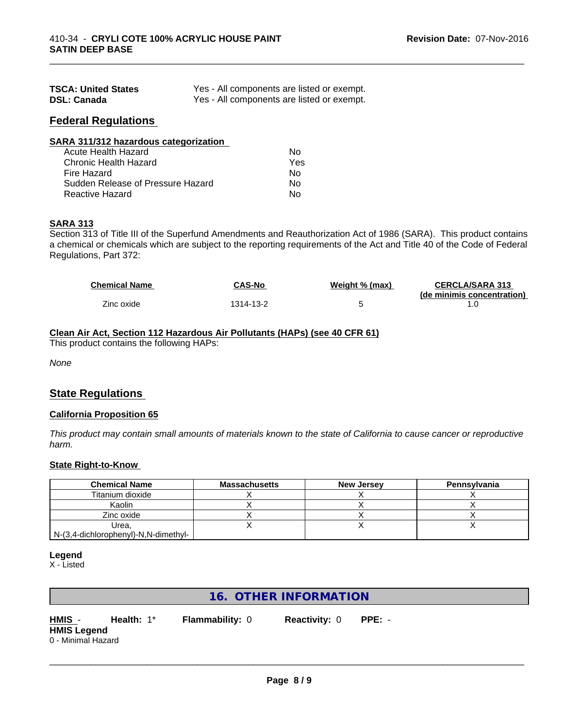| <b>TSCA: United States</b> | Yes - All components are listed or exempt. |
|----------------------------|--------------------------------------------|
| <b>DSL: Canada</b>         | Yes - All components are listed or exempt. |

### **Federal Regulations**

| SARA 311/312 hazardous categorization |     |  |
|---------------------------------------|-----|--|
| Acute Health Hazard                   | Nο  |  |
| Chronic Health Hazard                 | Yes |  |
| Fire Hazard                           | Nο  |  |
| Sudden Release of Pressure Hazard     | Nο  |  |
| Reactive Hazard                       | No  |  |

## **SARA 313**

Section 313 of Title III of the Superfund Amendments and Reauthorization Act of 1986 (SARA). This product contains a chemical or chemicals which are subject to the reporting requirements of the Act and Title 40 of the Code of Federal Regulations, Part 372:

| <b>Chemical Name</b> | <b>CAS-No</b> | Weight % (max) | <b>CERCLA/SARA 313</b><br>(de minimis concentration) |
|----------------------|---------------|----------------|------------------------------------------------------|
| Zinc oxide           | 1314-13-2     |                |                                                      |

\_\_\_\_\_\_\_\_\_\_\_\_\_\_\_\_\_\_\_\_\_\_\_\_\_\_\_\_\_\_\_\_\_\_\_\_\_\_\_\_\_\_\_\_\_\_\_\_\_\_\_\_\_\_\_\_\_\_\_\_\_\_\_\_\_\_\_\_\_\_\_\_\_\_\_\_\_\_\_\_\_\_\_\_\_\_\_\_\_\_\_\_\_

## **Clean Air Act,Section 112 Hazardous Air Pollutants (HAPs) (see 40 CFR 61)**

This product contains the following HAPs:

*None*

## **State Regulations**

#### **California Proposition 65**

This product may contain small amounts of materials known to the state of California to cause cancer or reproductive *harm.*

#### **State Right-to-Know**

| <b>Chemical Name</b>                 | <b>Massachusetts</b> | <b>New Jersey</b> | Pennsylvania |
|--------------------------------------|----------------------|-------------------|--------------|
| Titanium dioxide                     |                      |                   |              |
| Kaolin                               |                      |                   |              |
| Zinc oxide                           |                      |                   |              |
| Urea.                                |                      |                   |              |
| N-(3,4-dichlorophenyl)-N,N-dimethyl- |                      |                   |              |

#### **Legend**

X - Listed

## **16. OTHER INFORMATION**

**HMIS** - **Health:** 1\* **Flammability:** 0 **Reactivity:** 0 **PPE:** - **HMIS Legend** 0 - Minimal Hazard